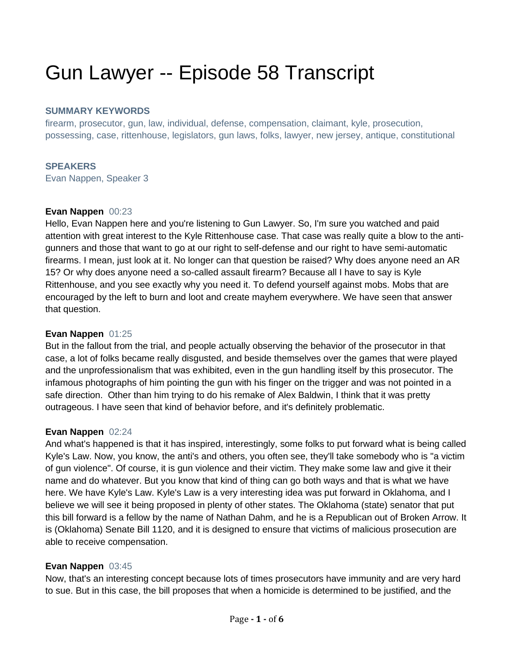# Gun Lawyer -- Episode 58 Transcript

## **SUMMARY KEYWORDS**

firearm, prosecutor, gun, law, individual, defense, compensation, claimant, kyle, prosecution, possessing, case, rittenhouse, legislators, gun laws, folks, lawyer, new jersey, antique, constitutional

#### **SPEAKERS**

Evan Nappen, Speaker 3

#### **Evan Nappen** 00:23

Hello, Evan Nappen here and you're listening to Gun Lawyer. So, I'm sure you watched and paid attention with great interest to the Kyle Rittenhouse case. That case was really quite a blow to the antigunners and those that want to go at our right to self-defense and our right to have semi-automatic firearms. I mean, just look at it. No longer can that question be raised? Why does anyone need an AR 15? Or why does anyone need a so-called assault firearm? Because all I have to say is Kyle Rittenhouse, and you see exactly why you need it. To defend yourself against mobs. Mobs that are encouraged by the left to burn and loot and create mayhem everywhere. We have seen that answer that question.

#### **Evan Nappen** 01:25

But in the fallout from the trial, and people actually observing the behavior of the prosecutor in that case, a lot of folks became really disgusted, and beside themselves over the games that were played and the unprofessionalism that was exhibited, even in the gun handling itself by this prosecutor. The infamous photographs of him pointing the gun with his finger on the trigger and was not pointed in a safe direction. Other than him trying to do his remake of Alex Baldwin, I think that it was pretty outrageous. I have seen that kind of behavior before, and it's definitely problematic.

#### **Evan Nappen** 02:24

And what's happened is that it has inspired, interestingly, some folks to put forward what is being called Kyle's Law. Now, you know, the anti's and others, you often see, they'll take somebody who is "a victim of gun violence". Of course, it is gun violence and their victim. They make some law and give it their name and do whatever. But you know that kind of thing can go both ways and that is what we have here. We have Kyle's Law. Kyle's Law is a very interesting idea was put forward in Oklahoma, and I believe we will see it being proposed in plenty of other states. The Oklahoma (state) senator that put this bill forward is a fellow by the name of Nathan Dahm, and he is a Republican out of Broken Arrow. It is (Oklahoma) Senate Bill 1120, and it is designed to ensure that victims of malicious prosecution are able to receive compensation.

#### **Evan Nappen** 03:45

Now, that's an interesting concept because lots of times prosecutors have immunity and are very hard to sue. But in this case, the bill proposes that when a homicide is determined to be justified, and the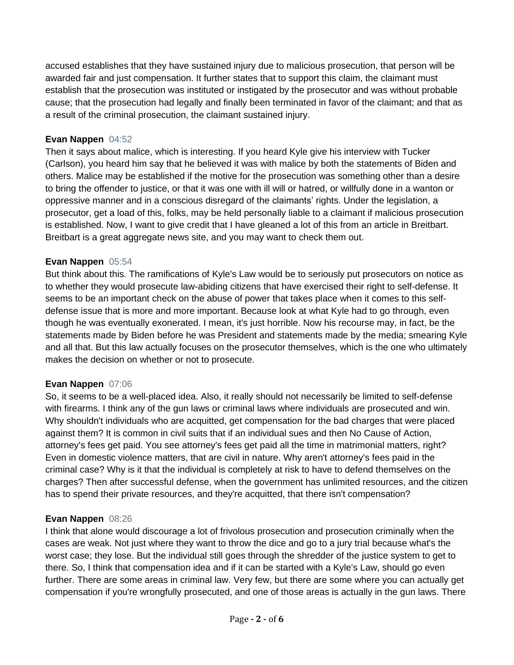accused establishes that they have sustained injury due to malicious prosecution, that person will be awarded fair and just compensation. It further states that to support this claim, the claimant must establish that the prosecution was instituted or instigated by the prosecutor and was without probable cause; that the prosecution had legally and finally been terminated in favor of the claimant; and that as a result of the criminal prosecution, the claimant sustained injury.

## **Evan Nappen** 04:52

Then it says about malice, which is interesting. If you heard Kyle give his interview with Tucker (Carlson), you heard him say that he believed it was with malice by both the statements of Biden and others. Malice may be established if the motive for the prosecution was something other than a desire to bring the offender to justice, or that it was one with ill will or hatred, or willfully done in a wanton or oppressive manner and in a conscious disregard of the claimants' rights. Under the legislation, a prosecutor, get a load of this, folks, may be held personally liable to a claimant if malicious prosecution is established. Now, I want to give credit that I have gleaned a lot of this from an article in Breitbart. Breitbart is a great aggregate news site, and you may want to check them out.

## **Evan Nappen** 05:54

But think about this. The ramifications of Kyle's Law would be to seriously put prosecutors on notice as to whether they would prosecute law-abiding citizens that have exercised their right to self-defense. It seems to be an important check on the abuse of power that takes place when it comes to this selfdefense issue that is more and more important. Because look at what Kyle had to go through, even though he was eventually exonerated. I mean, it's just horrible. Now his recourse may, in fact, be the statements made by Biden before he was President and statements made by the media; smearing Kyle and all that. But this law actually focuses on the prosecutor themselves, which is the one who ultimately makes the decision on whether or not to prosecute.

## **Evan Nappen** 07:06

So, it seems to be a well-placed idea. Also, it really should not necessarily be limited to self-defense with firearms. I think any of the gun laws or criminal laws where individuals are prosecuted and win. Why shouldn't individuals who are acquitted, get compensation for the bad charges that were placed against them? It is common in civil suits that if an individual sues and then No Cause of Action, attorney's fees get paid. You see attorney's fees get paid all the time in matrimonial matters, right? Even in domestic violence matters, that are civil in nature. Why aren't attorney's fees paid in the criminal case? Why is it that the individual is completely at risk to have to defend themselves on the charges? Then after successful defense, when the government has unlimited resources, and the citizen has to spend their private resources, and they're acquitted, that there isn't compensation?

#### **Evan Nappen** 08:26

I think that alone would discourage a lot of frivolous prosecution and prosecution criminally when the cases are weak. Not just where they want to throw the dice and go to a jury trial because what's the worst case; they lose. But the individual still goes through the shredder of the justice system to get to there. So, I think that compensation idea and if it can be started with a Kyle's Law, should go even further. There are some areas in criminal law. Very few, but there are some where you can actually get compensation if you're wrongfully prosecuted, and one of those areas is actually in the gun laws. There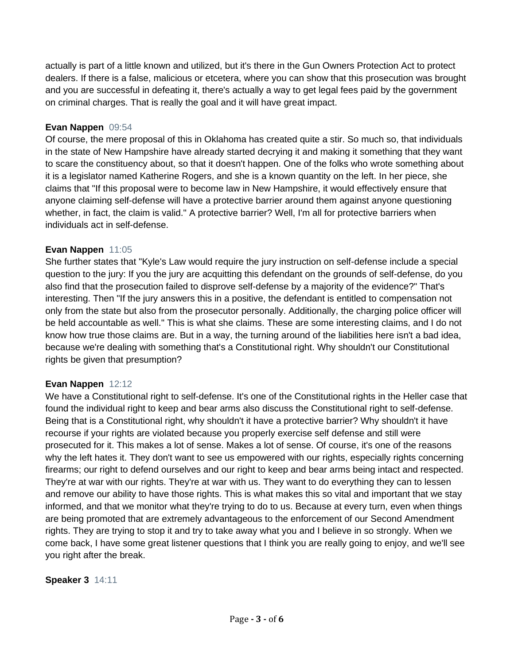actually is part of a little known and utilized, but it's there in the Gun Owners Protection Act to protect dealers. If there is a false, malicious or etcetera, where you can show that this prosecution was brought and you are successful in defeating it, there's actually a way to get legal fees paid by the government on criminal charges. That is really the goal and it will have great impact.

## **Evan Nappen** 09:54

Of course, the mere proposal of this in Oklahoma has created quite a stir. So much so, that individuals in the state of New Hampshire have already started decrying it and making it something that they want to scare the constituency about, so that it doesn't happen. One of the folks who wrote something about it is a legislator named Katherine Rogers, and she is a known quantity on the left. In her piece, she claims that "If this proposal were to become law in New Hampshire, it would effectively ensure that anyone claiming self-defense will have a protective barrier around them against anyone questioning whether, in fact, the claim is valid." A protective barrier? Well, I'm all for protective barriers when individuals act in self-defense.

## **Evan Nappen** 11:05

She further states that "Kyle's Law would require the jury instruction on self-defense include a special question to the jury: If you the jury are acquitting this defendant on the grounds of self-defense, do you also find that the prosecution failed to disprove self-defense by a majority of the evidence?" That's interesting. Then "If the jury answers this in a positive, the defendant is entitled to compensation not only from the state but also from the prosecutor personally. Additionally, the charging police officer will be held accountable as well." This is what she claims. These are some interesting claims, and I do not know how true those claims are. But in a way, the turning around of the liabilities here isn't a bad idea, because we're dealing with something that's a Constitutional right. Why shouldn't our Constitutional rights be given that presumption?

#### **Evan Nappen** 12:12

We have a Constitutional right to self-defense. It's one of the Constitutional rights in the Heller case that found the individual right to keep and bear arms also discuss the Constitutional right to self-defense. Being that is a Constitutional right, why shouldn't it have a protective barrier? Why shouldn't it have recourse if your rights are violated because you properly exercise self defense and still were prosecuted for it. This makes a lot of sense. Makes a lot of sense. Of course, it's one of the reasons why the left hates it. They don't want to see us empowered with our rights, especially rights concerning firearms; our right to defend ourselves and our right to keep and bear arms being intact and respected. They're at war with our rights. They're at war with us. They want to do everything they can to lessen and remove our ability to have those rights. This is what makes this so vital and important that we stay informed, and that we monitor what they're trying to do to us. Because at every turn, even when things are being promoted that are extremely advantageous to the enforcement of our Second Amendment rights. They are trying to stop it and try to take away what you and I believe in so strongly. When we come back, I have some great listener questions that I think you are really going to enjoy, and we'll see you right after the break.

#### **Speaker 3** 14:11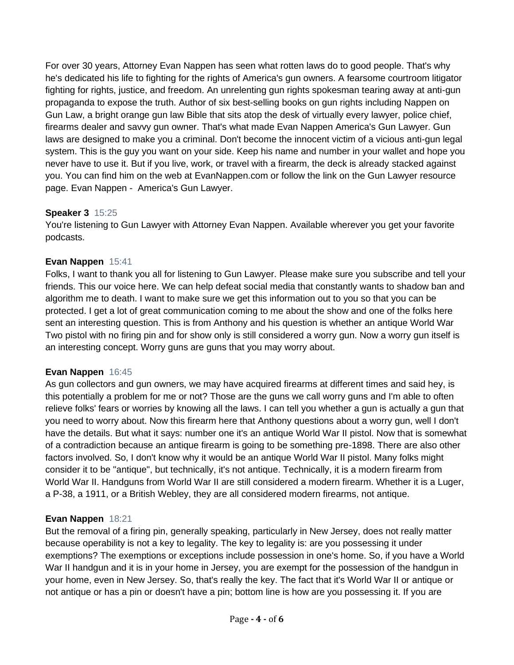For over 30 years, Attorney Evan Nappen has seen what rotten laws do to good people. That's why he's dedicated his life to fighting for the rights of America's gun owners. A fearsome courtroom litigator fighting for rights, justice, and freedom. An unrelenting gun rights spokesman tearing away at anti-gun propaganda to expose the truth. Author of six best-selling books on gun rights including Nappen on Gun Law, a bright orange gun law Bible that sits atop the desk of virtually every lawyer, police chief, firearms dealer and savvy gun owner. That's what made Evan Nappen America's Gun Lawyer. Gun laws are designed to make you a criminal. Don't become the innocent victim of a vicious anti-gun legal system. This is the guy you want on your side. Keep his name and number in your wallet and hope you never have to use it. But if you live, work, or travel with a firearm, the deck is already stacked against you. You can find him on the web at EvanNappen.com or follow the link on the Gun Lawyer resource page. Evan Nappen - America's Gun Lawyer.

# **Speaker 3** 15:25

You're listening to Gun Lawyer with Attorney Evan Nappen. Available wherever you get your favorite podcasts.

# **Evan Nappen** 15:41

Folks, I want to thank you all for listening to Gun Lawyer. Please make sure you subscribe and tell your friends. This our voice here. We can help defeat social media that constantly wants to shadow ban and algorithm me to death. I want to make sure we get this information out to you so that you can be protected. I get a lot of great communication coming to me about the show and one of the folks here sent an interesting question. This is from Anthony and his question is whether an antique World War Two pistol with no firing pin and for show only is still considered a worry gun. Now a worry gun itself is an interesting concept. Worry guns are guns that you may worry about.

## **Evan Nappen** 16:45

As gun collectors and gun owners, we may have acquired firearms at different times and said hey, is this potentially a problem for me or not? Those are the guns we call worry guns and I'm able to often relieve folks' fears or worries by knowing all the laws. I can tell you whether a gun is actually a gun that you need to worry about. Now this firearm here that Anthony questions about a worry gun, well I don't have the details. But what it says: number one it's an antique World War II pistol. Now that is somewhat of a contradiction because an antique firearm is going to be something pre-1898. There are also other factors involved. So, I don't know why it would be an antique World War II pistol. Many folks might consider it to be "antique", but technically, it's not antique. Technically, it is a modern firearm from World War II. Handguns from World War II are still considered a modern firearm. Whether it is a Luger, a P-38, a 1911, or a British Webley, they are all considered modern firearms, not antique.

## **Evan Nappen** 18:21

But the removal of a firing pin, generally speaking, particularly in New Jersey, does not really matter because operability is not a key to legality. The key to legality is: are you possessing it under exemptions? The exemptions or exceptions include possession in one's home. So, if you have a World War II handgun and it is in your home in Jersey, you are exempt for the possession of the handgun in your home, even in New Jersey. So, that's really the key. The fact that it's World War II or antique or not antique or has a pin or doesn't have a pin; bottom line is how are you possessing it. If you are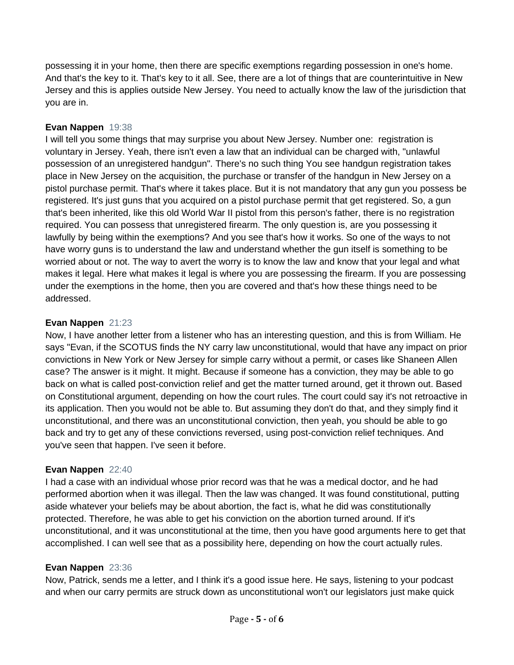possessing it in your home, then there are specific exemptions regarding possession in one's home. And that's the key to it. That's key to it all. See, there are a lot of things that are counterintuitive in New Jersey and this is applies outside New Jersey. You need to actually know the law of the jurisdiction that you are in.

## **Evan Nappen** 19:38

I will tell you some things that may surprise you about New Jersey. Number one: registration is voluntary in Jersey. Yeah, there isn't even a law that an individual can be charged with, "unlawful possession of an unregistered handgun". There's no such thing You see handgun registration takes place in New Jersey on the acquisition, the purchase or transfer of the handgun in New Jersey on a pistol purchase permit. That's where it takes place. But it is not mandatory that any gun you possess be registered. It's just guns that you acquired on a pistol purchase permit that get registered. So, a gun that's been inherited, like this old World War II pistol from this person's father, there is no registration required. You can possess that unregistered firearm. The only question is, are you possessing it lawfully by being within the exemptions? And you see that's how it works. So one of the ways to not have worry guns is to understand the law and understand whether the gun itself is something to be worried about or not. The way to avert the worry is to know the law and know that your legal and what makes it legal. Here what makes it legal is where you are possessing the firearm. If you are possessing under the exemptions in the home, then you are covered and that's how these things need to be addressed.

## **Evan Nappen** 21:23

Now, I have another letter from a listener who has an interesting question, and this is from William. He says "Evan, if the SCOTUS finds the NY carry law unconstitutional, would that have any impact on prior convictions in New York or New Jersey for simple carry without a permit, or cases like Shaneen Allen case? The answer is it might. It might. Because if someone has a conviction, they may be able to go back on what is called post-conviction relief and get the matter turned around, get it thrown out. Based on Constitutional argument, depending on how the court rules. The court could say it's not retroactive in its application. Then you would not be able to. But assuming they don't do that, and they simply find it unconstitutional, and there was an unconstitutional conviction, then yeah, you should be able to go back and try to get any of these convictions reversed, using post-conviction relief techniques. And you've seen that happen. I've seen it before.

## **Evan Nappen** 22:40

I had a case with an individual whose prior record was that he was a medical doctor, and he had performed abortion when it was illegal. Then the law was changed. It was found constitutional, putting aside whatever your beliefs may be about abortion, the fact is, what he did was constitutionally protected. Therefore, he was able to get his conviction on the abortion turned around. If it's unconstitutional, and it was unconstitutional at the time, then you have good arguments here to get that accomplished. I can well see that as a possibility here, depending on how the court actually rules.

## **Evan Nappen** 23:36

Now, Patrick, sends me a letter, and I think it's a good issue here. He says, listening to your podcast and when our carry permits are struck down as unconstitutional won't our legislators just make quick